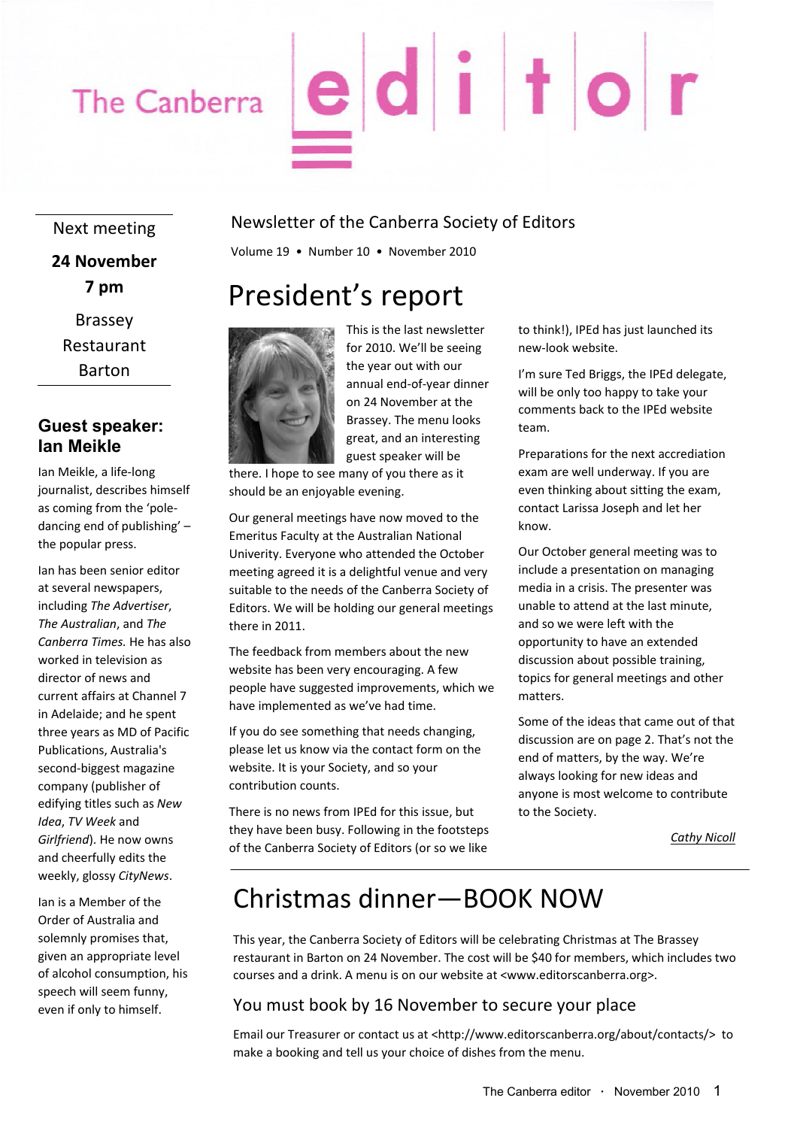### The Canberra

# editor

Next meeting **24 November 7 pm** Brassey Restaurant Barton

#### **Guest speaker: Ian Meikle**

Ian Meikle, a life‐long journalist, describes himself as coming from the 'pole‐ dancing end of publishing' – the popular press.

Ian has been senior editor at several newspapers, including *The Advertiser*, *The Australian*, and *The Canberra Times.* He has also worked in television as director of news and current affairs at Channel 7 in Adelaide; and he spent three years as MD of Pacific Publications, Australia's second‐biggest magazine company (publisher of edifying titles such as *New Idea*, *TV Week* and *Girlfriend*). He now owns and cheerfully edits the weekly, glossy *CityNews*.

Ian is a Member of the Order of Australia and solemnly promises that, given an appropriate level of alcohol consumption, his speech will seem funny, even if only to himself.

#### Newsletter of the Canberra Society of Editors

Volume 19 • Number 10 • November 2010

### President's report



This is the last newsletter for 2010. We'll be seeing the year out with our annual end‐of‐year dinner on 24 November at the Brassey. The menu looks great, and an interesting guest speaker will be

there. I hope to see many of you there as it should be an enjoyable evening.

Our general meetings have now moved to the Emeritus Faculty at the Australian National Univerity. Everyone who attended the October meeting agreed it is a delightful venue and very suitable to the needs of the Canberra Society of Editors. We will be holding our general meetings there in 2011.

The feedback from members about the new website has been very encouraging. A few people have suggested improvements, which we have implemented as we've had time.

If you do see something that needs changing, please let us know via the contact form on the website. It is your Society, and so your contribution counts.

There is no news from IPEd for this issue, but they have been busy. Following in the footsteps of the Canberra Society of Editors (or so we like

to think!), IPEd has just launched its new‐look website.

I'm sure Ted Briggs, the IPEd delegate, will be only too happy to take your comments back to the IPEd website team.

Preparations for the next accrediation exam are well underway. If you are even thinking about sitting the exam, contact Larissa Joseph and let her know.

Our October general meeting was to include a presentation on managing media in a crisis. The presenter was unable to attend at the last minute, and so we were left with the opportunity to have an extended discussion about possible training, topics for general meetings and other matters.

Some of the ideas that came out of that discussion are on page 2. That's not the end of matters, by the way. We're always looking for new ideas and anyone is most welcome to contribute to the Society.

*Cathy Nicoll*

### Christmas dinner—BOOK NOW

This year, the Canberra Society of Editors will be celebrating Christmas at The Brassey restaurant in Barton on 24 November. The cost will be \$40 for members, which includes two courses and a drink. A menu is on our website at <www.editorscanberra.org>.

#### You must book by 16 November to secure your place

Email our Treasurer or contact us at <http://www.editorscanberra.org/about/contacts/> to make a booking and tell us your choice of dishes from the menu.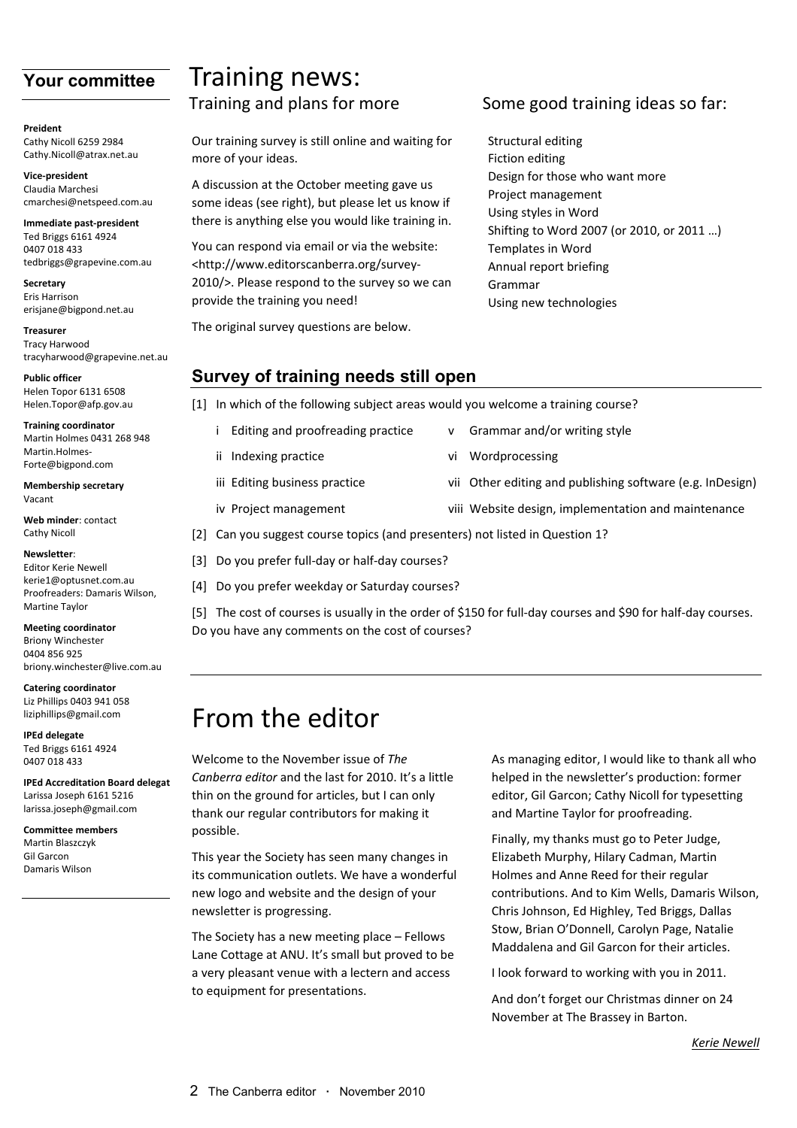#### **Your committee**

**Preident** Cathy Nicoll 6259 2984 Cathy.Nicoll@atrax.net.au

**Vice‐president** Claudia Marchesi cmarchesi@netspeed.com.au

**Immediate past‐president** Ted Briggs 6161 4924 0407 018 433 tedbriggs@grapevine.com.au

**Secretary** Eris Harrison erisjane@bigpond.net.au

**Treasurer** Tracy Harwood tracyharwood@grapevine.net.au

**Public officer** Helen Topor 6131 6508 Helen.Topor@afp.gov.au

**Training coordinator** Martin Holmes 0431 268 948 Martin Holmes Forte@bigpond.com

**Membership secretary** Vacant

**Web minder**: contact Cathy Nicoll

**Newsletter**: Editor Kerie Newell kerie1@optusnet.com.au Proofreaders: Damaris Wilson, Martine Taylor

**Meeting coordinator** Briony Winchester 0404 856 925

briony.winchester@live.com.au

**Catering coordinator** Liz Phillips 0403 941 058 liziphillips@gmail.com

**IPEd delegate** Ted Briggs 6161 4924 0407 018 433

**IPEd Accreditation Board delegat** Larissa Joseph 6161 5216 larissa.joseph@gmail.com

**Committee members** Martin Blaszczyk Gil Garcon Damaris Wilson

## Training news:

Our training survey is still online and waiting for more of your ideas.

A discussion at the October meeting gave us some ideas (see right), but please let us know if there is anything else you would like training in.

You can respond via email or via the website: <http://www.editorscanberra.org/survey‐ 2010/>. Please respond to the survey so we can provide the training you need!

The original survey questions are below.

#### Training and plans for more Some good training ideas so far:

Structural editing Fiction editing Design for those who want more Project management Using styles in Word Shifting to Word 2007 (or 2010, or 2011 …) Templates in Word Annual report briefing Grammar Using new technologies

#### **Survey of training needs still open**

[1] In which of the following subject areas would you welcome a training course?

- i Editing and proofreading practice v Grammar and/or writing style
- ii Indexing practice **by a strategie of the United Strategies** vi Wordprocessing
- iii Editing business practice  $\qquad \qquad \text{vii}$  Other editing and publishing software (e.g. InDesign)
- iv Project management viii Website design, implementation and maintenance
- [2] Can you suggest course topics (and presenters) not listed in Question 1?
- [3] Do you prefer full-day or half-day courses?
- [4] Do you prefer weekday or Saturday courses?

[5] The cost of courses is usually in the order of \$150 for full-day courses and \$90 for half-day courses. Do you have any comments on the cost of courses?

### From the editor

Welcome to the November issue of *The Canberra editor* and the last for 2010. It's a little thin on the ground for articles, but I can only thank our regular contributors for making it possible.

This year the Society has seen many changes in its communication outlets. We have a wonderful new logo and website and the design of your newsletter is progressing.

The Society has a new meeting place – Fellows Lane Cottage at ANU. It's small but proved to be a very pleasant venue with a lectern and access to equipment for presentations.

As managing editor, I would like to thank all who helped in the newsletter's production: former editor, Gil Garcon; Cathy Nicoll for typesetting and Martine Taylor for proofreading.

Finally, my thanks must go to Peter Judge, Elizabeth Murphy, Hilary Cadman, Martin Holmes and Anne Reed for their regular contributions. And to Kim Wells, Damaris Wilson, Chris Johnson, Ed Highley, Ted Briggs, Dallas Stow, Brian O'Donnell, Carolyn Page, Natalie Maddalena and Gil Garcon for their articles.

I look forward to working with you in 2011.

And don't forget our Christmas dinner on 24 November at The Brassey in Barton.

*Kerie Newell*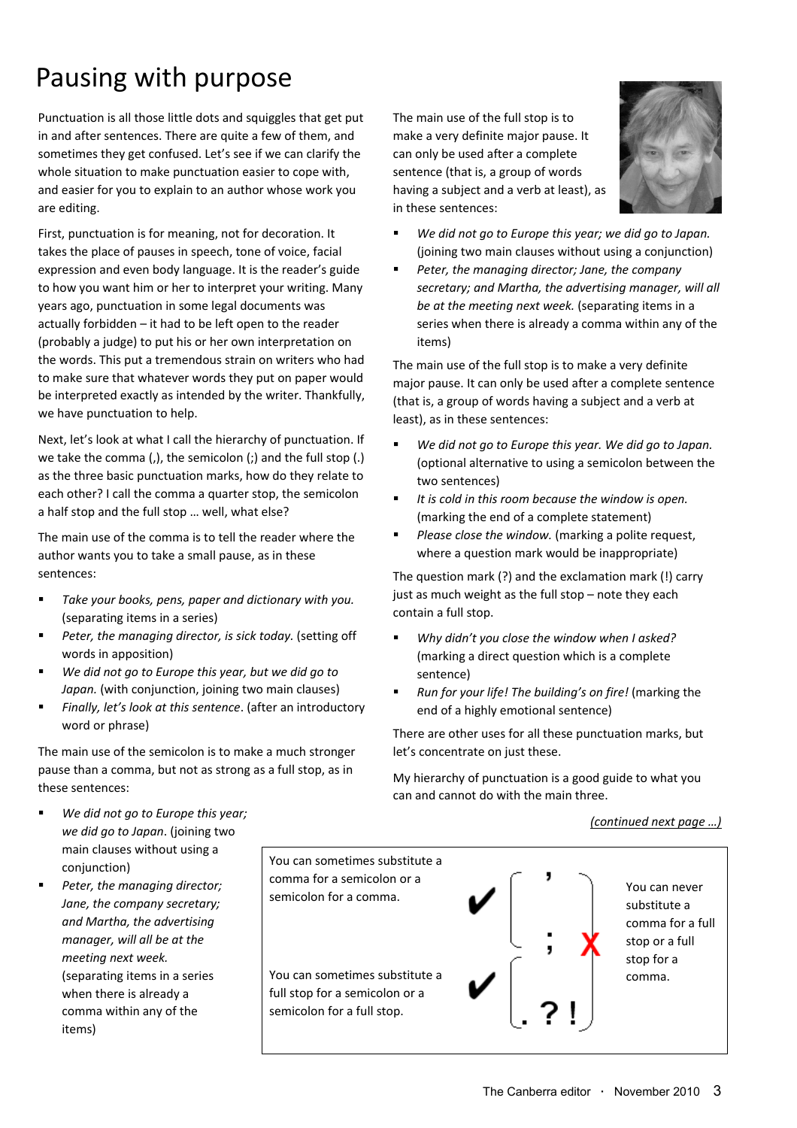### Pausing with purpose

Punctuation is all those little dots and squiggles that get put in and after sentences. There are quite a few of them, and sometimes they get confused. Let's see if we can clarify the whole situation to make punctuation easier to cope with, and easier for you to explain to an author whose work you are editing.

First, punctuation is for meaning, not for decoration. It takes the place of pauses in speech, tone of voice, facial expression and even body language. It is the reader's guide to how you want him or her to interpret your writing. Many years ago, punctuation in some legal documents was actually forbidden – it had to be left open to the reader (probably a judge) to put his or her own interpretation on the words. This put a tremendous strain on writers who had to make sure that whatever words they put on paper would be interpreted exactly as intended by the writer. Thankfully, we have punctuation to help.

Next, let's look at what I call the hierarchy of punctuation. If we take the comma (,), the semicolon (;) and the full stop (.) as the three basic punctuation marks, how do they relate to each other? I call the comma a quarter stop, the semicolon a half stop and the full stop … well, what else?

The main use of the comma is to tell the reader where the author wants you to take a small pause, as in these sentences:

- *Take your books, pens, paper and dictionary with you.* (separating items in a series)
- *Peter, the managing director, is sick today.* (setting off words in apposition)
- *We did not go to Europe this year, but we did go to Japan.* (with conjunction, joining two main clauses)
- *Finally, let's look at this sentence*. (after an introductory word or phrase)

The main use of the semicolon is to make a much stronger pause than a comma, but not as strong as a full stop, as in these sentences:

The main use of the full stop is to make a very definite major pause. It can only be used after a complete sentence (that is, a group of words having a subject and a verb at least), as in these sentences:



- *We did not go to Europe this year; we did go to Japan.* (joining two main clauses without using a conjunction)
- *Peter, the managing director; Jane, the company secretary; and Martha, the advertising manager, will all be at the meeting next week.* (separating items in a series when there is already a comma within any of the items)

The main use of the full stop is to make a very definite major pause. It can only be used after a complete sentence (that is, a group of words having a subject and a verb at least), as in these sentences:

- *We did not go to Europe this year. We did go to Japan.* (optional alternative to using a semicolon between the two sentences)
- *It is cold in this room because the window is open.* (marking the end of a complete statement)
- *Please close the window.* (marking a polite request, where a question mark would be inappropriate)

The question mark (?) and the exclamation mark (!) carry just as much weight as the full stop – note they each contain a full stop.

- *Why didn't you close the window when I asked?* (marking a direct question which is a complete sentence)
- *Run for your life! The building's on fire!* (marking the end of a highly emotional sentence)

There are other uses for all these punctuation marks, but let's concentrate on just these.

My hierarchy of punctuation is a good guide to what you can and cannot do with the main three.

*(continued next page …)*

- *We did not go to Europe this year; we did go to Japan*. (joining two main clauses without using a conjunction)
- *Peter, the managing director; Jane, the company secretary; and Martha, the advertising manager, will all be at the meeting next week.* (separating items in a series when there is already a comma within any of the items)

You can sometimes substitute a comma for a semicolon or a semicolon for a comma. You can sometimes substitute a full stop for a semicolon or a semicolon for a full stop. You can never substitute a comma for a full stop or a full stop for a comma.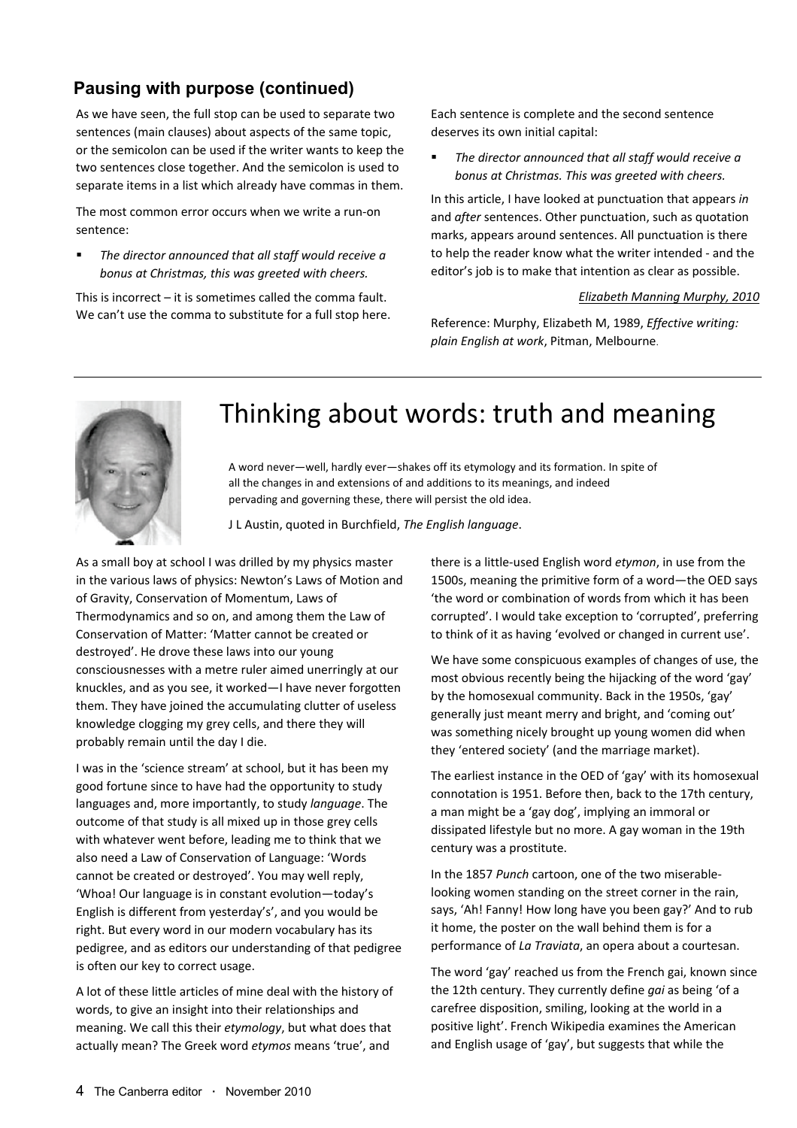#### **Pausing with purpose (continued)**

As we have seen, the full stop can be used to separate two sentences (main clauses) about aspects of the same topic, or the semicolon can be used if the writer wants to keep the two sentences close together. And the semicolon is used to separate items in a list which already have commas in them.

The most common error occurs when we write a run‐on sentence:

 *The director announced that all staff would receive a bonus at Christmas, this was greeted with cheers.*

This is incorrect – it is sometimes called the comma fault. We can't use the comma to substitute for a full stop here. Each sentence is complete and the second sentence deserves its own initial capital:

 *The director announced that all staff would receive a bonus at Christmas. This was greeted with cheers.*

In this article, I have looked at punctuation that appears *in* and *after* sentences. Other punctuation, such as quotation marks, appears around sentences. All punctuation is there to help the reader know what the writer intended ‐ and the editor's job is to make that intention as clear as possible.

#### *Elizabeth Manning Murphy, 2010*

Reference: Murphy, Elizabeth M, 1989, *Effective writing: plain English at work*, Pitman, Melbourne.



### Thinking about words: truth and meaning

A word never—well, hardly ever—shakes off its etymology and its formation. In spite of all the changes in and extensions of and additions to its meanings, and indeed pervading and governing these, there will persist the old idea.

J L Austin, quoted in Burchfield, *The English language*.

As a small boy at school I was drilled by my physics master in the various laws of physics: Newton's Laws of Motion and of Gravity, Conservation of Momentum, Laws of Thermodynamics and so on, and among them the Law of Conservation of Matter: 'Matter cannot be created or destroyed'. He drove these laws into our young consciousnesses with a metre ruler aimed unerringly at our knuckles, and as you see, it worked—I have never forgotten them. They have joined the accumulating clutter of useless knowledge clogging my grey cells, and there they will probably remain until the day I die.

I was in the 'science stream' at school, but it has been my good fortune since to have had the opportunity to study languages and, more importantly, to study *language*. The outcome of that study is all mixed up in those grey cells with whatever went before, leading me to think that we also need a Law of Conservation of Language: 'Words cannot be created or destroyed'. You may well reply, 'Whoa! Our language is in constant evolution—today's English is different from yesterday's', and you would be right. But every word in our modern vocabulary has its pedigree, and as editors our understanding of that pedigree is often our key to correct usage.

A lot of these little articles of mine deal with the history of words, to give an insight into their relationships and meaning. We call this their *etymology*, but what does that actually mean? The Greek word *etymos* means 'true', and

there is a little‐used English word *etymon*, in use from the 1500s, meaning the primitive form of a word—the OED says 'the word or combination of words from which it has been corrupted'. I would take exception to 'corrupted', preferring to think of it as having 'evolved or changed in current use'.

We have some conspicuous examples of changes of use, the most obvious recently being the hijacking of the word 'gay' by the homosexual community. Back in the 1950s, 'gay' generally just meant merry and bright, and 'coming out' was something nicely brought up young women did when they 'entered society' (and the marriage market).

The earliest instance in the OED of 'gay' with its homosexual connotation is 1951. Before then, back to the 17th century, a man might be a 'gay dog', implying an immoral or dissipated lifestyle but no more. A gay woman in the 19th century was a prostitute.

In the 1857 *Punch* cartoon, one of the two miserable‐ looking women standing on the street corner in the rain, says, 'Ah! Fanny! How long have you been gay?' And to rub it home, the poster on the wall behind them is for a performance of *La Traviata*, an opera about a courtesan.

The word 'gay' reached us from the French gai, known since the 12th century. They currently define *gai* as being 'of a carefree disposition, smiling, looking at the world in a positive light'. French Wikipedia examines the American and English usage of 'gay', but suggests that while the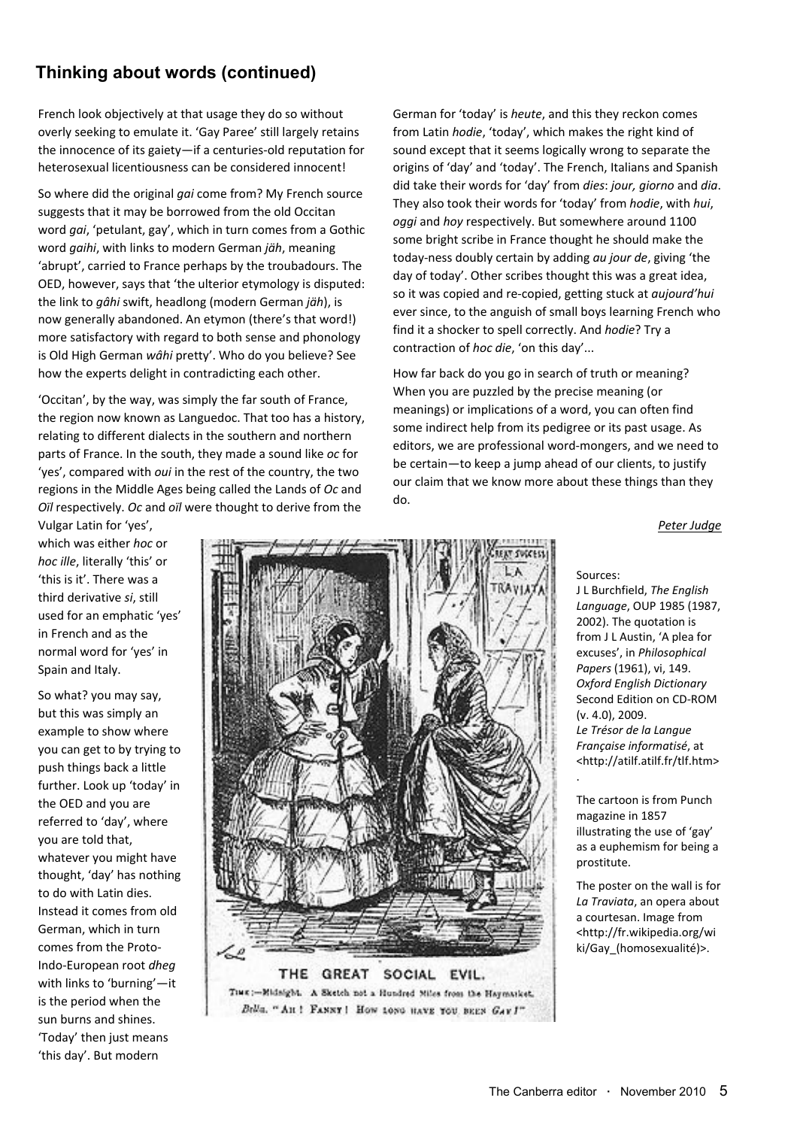### **Thinking about words (continued)**

French look objectively at that usage they do so without overly seeking to emulate it. 'Gay Paree' still largely retains the innocence of its gaiety—if a centuries‐old reputation for heterosexual licentiousness can be considered innocent!

So where did the original *gai* come from? My French source suggests that it may be borrowed from the old Occitan word *gai*, 'petulant, gay', which in turn comes from a Gothic word *gaihi*, with links to modern German *jäh*, meaning 'abrupt', carried to France perhaps by the troubadours. The OED, however, says that 'the ulterior etymology is disputed: the link to *gâhi* swift, headlong (modern German *jäh*), is now generally abandoned. An etymon (there's that word!) more satisfactory with regard to both sense and phonology is Old High German *wâhi* pretty'. Who do you believe? See how the experts delight in contradicting each other.

'Occitan', by the way, was simply the far south of France, the region now known as Languedoc. That too has a history, relating to different dialects in the southern and northern parts of France. In the south, they made a sound like *oc* for 'yes', compared with *oui* in the rest of the country, the two regions in the Middle Ages being called the Lands of *Oc* and *Oïl* respectively. *Oc* and *oïl* were thought to derive from the

German for 'today' is *heute*, and this they reckon comes from Latin *hodie*, 'today', which makes the right kind of sound except that it seems logically wrong to separate the origins of 'day' and 'today'. The French, Italians and Spanish did take their words for 'day' from *dies*: *jour, giorno* and *dia*. They also took their words for 'today' from *hodie*, with *hui*, *oggi* and *hoy* respectively. But somewhere around 1100 some bright scribe in France thought he should make the today‐ness doubly certain by adding *au jour de*, giving 'the day of today'. Other scribes thought this was a great idea, so it was copied and re‐copied, getting stuck at *aujourd'hui* ever since, to the anguish of small boys learning French who find it a shocker to spell correctly. And *hodie*? Try a contraction of *hoc die*, 'on this day'...

How far back do you go in search of truth or meaning? When you are puzzled by the precise meaning (or meanings) or implications of a word, you can often find some indirect help from its pedigree or its past usage. As editors, we are professional word‐mongers, and we need to be certain—to keep a jump ahead of our clients, to justify our claim that we know more about these things than they do.

*Peter Judge*

Vulgar Latin for 'yes', which was either *hoc* or *hoc ille*, literally 'this' or 'this is it'. There was a third derivative *si*, still used for an emphatic 'yes' in French and as the normal word for 'yes' in Spain and Italy.

So what? you may say, but this was simply an example to show where you can get to by trying to push things back a little further. Look up 'today' in the OED and you are referred to 'day', where you are told that, whatever you might have thought, 'day' has nothing to do with Latin dies. Instead it comes from old German, which in turn comes from the Proto‐ Indo‐European root *dheg* with links to 'burning'—it is the period when the sun burns and shines. 'Today' then just means 'this day'. But modern



TIME :- Midnight. A Sleetch not a Hundred Miles from the Haymanicst. Brila. "An ! FANNY! How toyo wavs you seen GAY !"

Sources:

.

J L Burchfield, *The English Language*, OUP 1985 (1987, 2002). The quotation is from J L Austin, 'A plea for excuses', in *Philosophical Papers* (1961), vi, 149. *Oxford English Dictionary* Second Edition on CD‐ROM (v. 4.0), 2009. *Le Trésor de la Langue Française informatisé*, at <http://atilf.atilf.fr/tlf.htm>

The cartoon is from Punch magazine in 1857 illustrating the use of 'gay' as a euphemism for being a prostitute.

The poster on the wall is for *La Traviata*, an opera about a courtesan. Image from <http://fr.wikipedia.org/wi ki/Gay (homosexualité)>.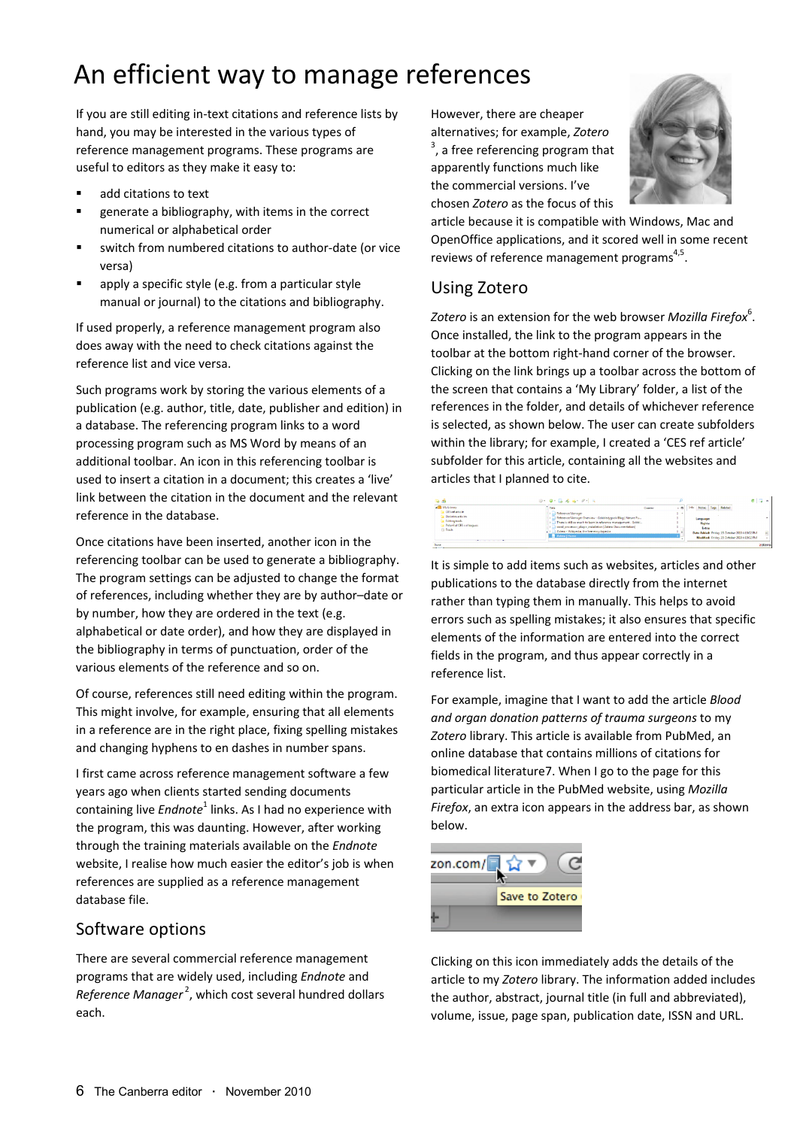### An efficient way to manage references

If you are still editing in‐text citations and reference lists by hand, you may be interested in the various types of reference management programs. These programs are useful to editors as they make it easy to:

- add citations to text
- generate a bibliography, with items in the correct numerical or alphabetical order
- switch from numbered citations to author‐date (or vice versa)
- apply a specific style (e.g. from a particular style manual or journal) to the citations and bibliography.

If used properly, a reference management program also does away with the need to check citations against the reference list and vice versa.

Such programs work by storing the various elements of a publication (e.g. author, title, date, publisher and edition) in a database. The referencing program links to a word processing program such as MS Word by means of an additional toolbar. An icon in this referencing toolbar is used to insert a citation in a document; this creates a 'live' link between the citation in the document and the relevant reference in the database.

Once citations have been inserted, another icon in the referencing toolbar can be used to generate a bibliography. The program settings can be adjusted to change the format of references, including whether they are by author–date or by number, how they are ordered in the text (e.g. alphabetical or date order), and how they are displayed in the bibliography in terms of punctuation, order of the various elements of the reference and so on.

Of course, references still need editing within the program. This might involve, for example, ensuring that all elements in a reference are in the right place, fixing spelling mistakes and changing hyphens to en dashes in number spans.

I first came across reference management software a few years ago when clients started sending documents containing live *Endnote*<sup>1</sup> links. As I had no experience with the program, this was daunting. However, after working through the training materials available on the *Endnote* website, I realise how much easier the editor's job is when references are supplied as a reference management database file.

#### Software options

There are several commercial reference management programs that are widely used, including *Endnote* and Reference Manager<sup>2</sup>, which cost several hundred dollars each.

However, there are cheaper alternatives; for example, *Zotero*  $3$ , a free referencing program that apparently functions much like the commercial versions. I've chosen *Zotero* as the focus of this



article because it is compatible with Windows, Mac and OpenOffice applications, and it scored well in some recent reviews of reference management programs<sup>4,5</sup>.

#### Using Zotero

*Zotero* is an extension for the web browser *Mozilla Firefox*<sup>6</sup> . Once installed, the link to the program appears in the toolbar at the bottom right‐hand corner of the browser. Clicking on the link brings up a toolbar across the bottom of the screen that contains a 'My Library' folder, a list of the references in the folder, and details of whichever reference is selected, as shown below. The user can create subfolders within the library; for example, I created a 'CES ref article' subfolder for this article, containing all the websites and articles that I planned to cite.



It is simple to add items such as websites, articles and other publications to the database directly from the internet rather than typing them in manually. This helps to avoid errors such as spelling mistakes; it also ensures that specific elements of the information are entered into the correct fields in the program, and thus appear correctly in a reference list.

For example, imagine that I want to add the article *Blood and organ donation patterns of trauma surgeons* to my *Zotero* library. This article is available from PubMed, an online database that contains millions of citations for biomedical literature7. When I go to the page for this particular article in the PubMed website, using *Mozilla Firefox*, an extra icon appears in the address bar, as shown below.



Clicking on this icon immediately adds the details of the article to my *Zotero* library. The information added includes the author, abstract, journal title (in full and abbreviated), volume, issue, page span, publication date, ISSN and URL.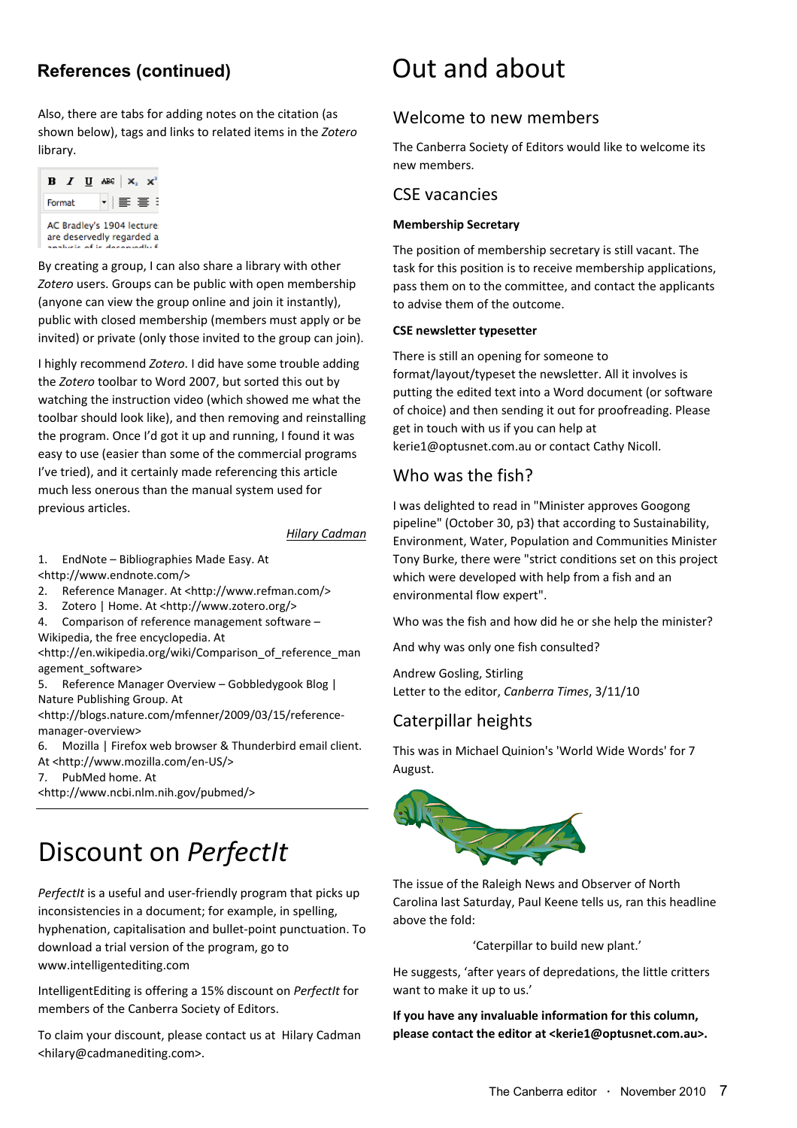Also, there are tabs for adding notes on the citation (as shown below), tags and links to related items in the *Zotero* library.



By creating a group, I can also share a library with other *Zotero* users. Groups can be public with open membership (anyone can view the group online and join it instantly), public with closed membership (members must apply or be invited) or private (only those invited to the group can join).

I highly recommend *Zotero*. I did have some trouble adding the *Zotero* toolbar to Word 2007, but sorted this out by watching the instruction video (which showed me what the toolbar should look like), and then removing and reinstalling the program. Once I'd got it up and running, I found it was easy to use (easier than some of the commercial programs I've tried), and it certainly made referencing this article much less onerous than the manual system used for previous articles.

#### *Hilary Cadman*

1. EndNote – Bibliographies Made Easy. At <http://www.endnote.com/>

- 2. Reference Manager. At <http://www.refman.com/>
- 3. Zotero | Home. At <http://www.zotero.org/>
- 4. Comparison of reference management software Wikipedia, the free encyclopedia. At

<http://en.wikipedia.org/wiki/Comparison\_of\_reference\_man agement\_software>

5. Reference Manager Overview – Gobbledygook Blog | Nature Publishing Group. At

<http://blogs.nature.com/mfenner/2009/03/15/reference‐ manager‐overview>

6. Mozilla | Firefox web browser & Thunderbird email client. At <http://www.mozilla.com/en‐US/>

7. PubMed home. At

<http://www.ncbi.nlm.nih.gov/pubmed/>

### Discount on *PerfectIt*

*PerfectIt* is a useful and user‐friendly program that picks up inconsistencies in a document; for example, in spelling, hyphenation, capitalisation and bullet‐point punctuation. To download a trial version of the program, go to www.intelligentediting.com

IntelligentEditing is offering a 15% discount on *PerfectIt* for members of the Canberra Society of Editors.

To claim your discount, please contact us at Hilary Cadman <hilary@cadmanediting.com>.

### References (continued) **Dut and about**

#### Welcome to new members

The Canberra Society of Editors would like to welcome its new members.

#### CSE vacancies

#### **Membership Secretary**

The position of membership secretary is still vacant. The task for this position is to receive membership applications, pass them on to the committee, and contact the applicants to advise them of the outcome.

#### **CSE newsletter typesetter**

There is still an opening for someone to format/layout/typeset the newsletter. All it involves is putting the edited text into a Word document (or software of choice) and then sending it out for proofreading. Please get in touch with us if you can help at kerie1@optusnet.com.au or contact Cathy Nicoll.

#### Who was the fish?

I was delighted to read in "Minister approves Googong pipeline" (October 30, p3) that according to Sustainability, Environment, Water, Population and Communities Minister Tony Burke, there were "strict conditions set on this project which were developed with help from a fish and an environmental flow expert".

Who was the fish and how did he or she help the minister?

And why was only one fish consulted?

Andrew Gosling, Stirling Letter to the editor, *Canberra Times*, 3/11/10

#### Caterpillar heights

This was in Michael Quinion's 'World Wide Words' for 7 August.



The issue of the Raleigh News and Observer of North Carolina last Saturday, Paul Keene tells us, ran this headline above the fold:

'Caterpillar to build new plant.'

He suggests, 'after years of depredations, the little critters want to make it up to us.'

**If you have any invaluable information for this column, please contact the editor at <kerie1@optusnet.com.au>.**